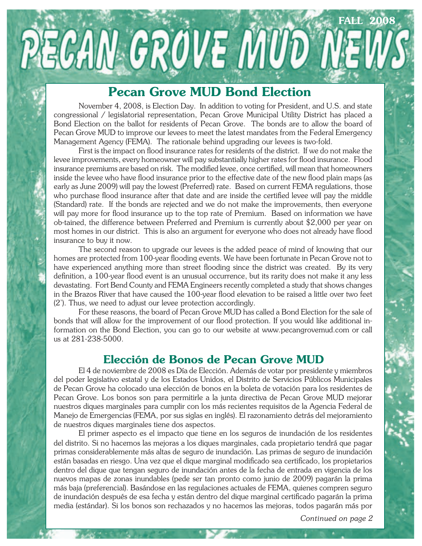## **Pecan Grove MUD Bond Election**

**PECAN GROVE MUD NEW** 

November 4, 2008, is Election Day. In addition to voting for President, and U.S. and state congressional / legislatorial representation, Pecan Grove Municipal Utility District has placed a Bond Election on the ballot for residents of Pecan Grove. The bonds are to allow the board of Pecan Grove MUD to improve our levees to meet the latest mandates from the Federal Emergency Management Agency (FEMA). The rationale behind upgrading our levees is two-fold.

First is the impact on flood insurance rates for residents of the district. If we do not make the levee improvements, every homeowner will pay substantially higher rates for flood insurance. Flood insurance premiums are based on risk. The modified levee, once certified, will mean that homeowners inside the levee who have flood insurance prior to the effective date of the new flood plain maps (as early as June 2009) will pay the lowest (Preferred) rate. Based on current FEMA regulations, those who purchase flood insurance after that date and are inside the certified levee will pay the middle (Standard) rate. If the bonds are rejected and we do not make the improvements, then everyone will pay more for flood insurance up to the top rate of Premium. Based on information we have ob-tained, the difference between Preferred and Premium is currently about \$2,000 per year on most homes in our district. This is also an argument for everyone who does not already have flood insurance to buy it now.

The second reason to upgrade our levees is the added peace of mind of knowing that our homes are protected from 100-year flooding events. We have been fortunate in Pecan Grove not to have experienced anything more than street flooding since the district was created. By its very definition, a 100-year flood event is an unusual occurrence, but its rarity does not make it any less devastating. Fort Bend County and FEMA Engineers recently completed a study that shows changes in the Brazos River that have caused the 100-year flood elevation to be raised a little over two feet (2'). Thus, we need to adjust our levee protection accordingly.

 For these reasons, the board of Pecan Grove MUD has called a Bond Election for the sale of bonds that will allow for the improvement of our flood protection. If you would like additional information on the Bond Election, you can go to our website at www.pecangrovemud.com or call us at 281-238-5000.

#### **Elección de Bonos de Pecan Grove MUD**

El 4 de noviembre de 2008 es Día de Elección. Además de votar por presidente y miembros del poder legislativo estatal y de los Estados Unidos, el Distrito de Servicios Públicos Municipales de Pecan Grove ha colocado una elección de bonos en la boleta de votación para los residentes de Pecan Grove. Los bonos son para permitirle a la junta directiva de Pecan Grove MUD mejorar nuestros diques marginales para cumplir con los más recientes requisitos de la Agencia Federal de Manejo de Emergencias (FEMA, por sus siglas en inglés). El razonamiento detrás del mejoramiento de nuestros diques marginales tiene dos aspectos.

 El primer aspecto es el impacto que tiene en los seguros de inundación de los residentes del distrito. Si no hacemos las mejoras a los diques marginales, cada propietario tendrá que pagar primas considerablemente más altas de seguro de inundación. Las primas de seguro de inundación están basadas en riesgo. Una vez que el dique marginal modificado sea certificado, los propietarios dentro del dique que tengan seguro de inundación antes de la fecha de entrada en vigencia de los nuevos mapas de zonas inundables (pede ser tan pronto como junio de 2009) pagarán la prima más baja (preferencial). Basándose en las regulaciones actuales de FEMA, quienes compren seguro de inundación después de esa fecha y están dentro del dique marginal certificado pagarán la prima media (estándar). Si los bonos son rechazados y no hacemos las mejoras, todos pagarán más por

*Continued on page 2*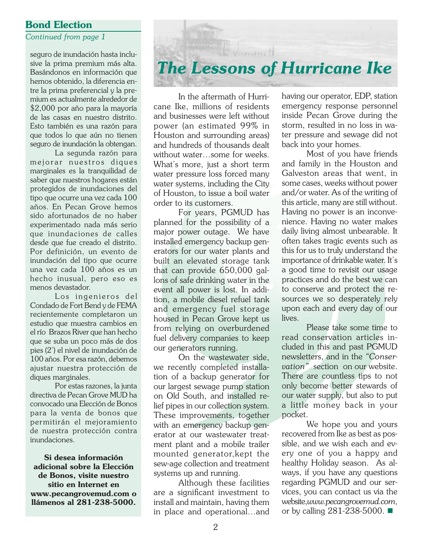#### **Bond Election**

#### *Continued from page 1*

seguro de inundación hasta inclusive la prima premium más alta. Basándonos en información que hemos obtenido, la diferencia entre la prima preferencial y la premium es actualmente alrededor de \$2,000 por año para la mayoría de las casas en nuestro distrito. Esto también es una razón para que todos lo que aún no tienen seguro de inundación la obtengan.

La segunda razón para mejorar nuestros diques marginales es la tranquilidad de saber que nuestros hogares están protegidos de inundaciones del tipo que ocurre una vez cada 100 años. En Pecan Grove hemos sido afortunados de no haber experimentado nada más serio que inundaciones de calles desde que fue creado el distrito. Por definición, un evento de inundación del tipo que ocurre una vez cada 100 años es un hecho inusual, pero eso es menos devastador.

 Los ingenieros del Condado de Fort Bend y de FEMA recientemente completaron un estudio que muestra cambios en el río Brazos River que han hecho que se suba un poco más de dos pies (2') el nivel de inundación de 100 años. Por esa razón, debemos ajustar nuestra protección de diques marginales.

 Por estas razones, la junta directiva de Pecan Grove MUD ha convocado una Elección de Bonos para la venta de bonos que permitirán el mejoramiento de nuestra protección contra inundaciones.

**Si desea información adicional sobre la Elección de Bonos, visite nuestro sitio en Internet en www.pecangrovemud.com o llámenos al 281-238-5000.**

#### In the aftermath of Hurricane Ike, millions of residents and businesses were left without power (an estimated 99% in Houston and surrounding areas) and hundreds of thousands dealt without water…some for weeks. What's more, just a short term water pressure loss forced many water systems, including the City of Houston, to issue a boil water

National Manuel

*The Lessons of Hurricane Ike*

order to its customers. For years, PGMUD has planned for the possibility of a major power outage. We have installed emergency backup generators for our water plants and built an elevated storage tank that can provide 650,000 gallons of safe drinking water in the event all power is lost. In addition, a mobile diesel refuel tank and emergency fuel storage housed in Pecan Grove kept us from relying on overburdened fuel delivery companies to keep our generators running.

 On the wastewater side, we recently completed installation of a backup generator for our largest sewage pump station on Old South, and installed relief pipes in our collection system. These improvements, together with an emergency backup generator at our wastewater treatment plant and a mobile trailer mounted generator,kept the sew-age collection and treatment systems up and running.

Although these facilities are a significant investment to install and maintain, having them in place and operational…and

having our operator, EDP, station emergency response personnel inside Pecan Grove during the storm, resulted in no loss in water pressure and sewage did not back into your homes.

 Most of you have friends and family in the Houston and Galveston areas that went, in some cases, weeks without power and/or water. As of the writing of this article, many are still without. Having no power is an inconvenience. Having no water makes daily living almost unbearable. It often takes tragic events such as this for us to truly understand the importance of drinkable water. It's a good time to revisit our usage practices and do the best we can to conserve and protect the resources we so desperately rely upon each and every day of our lives.

 Please take some time to read conservation articles included in this and past PGMUD newsletters, and in the *"Conservation"* section on our website. There are countless tips to not only become better stewards of our water supply, but also to put a little money back in your pocket.

We hope you and yours recovered from Ike as best as possible, and we wish each and every one of you a happy and healthy Holiday season. As always, if you have any questions regarding PGMUD and our services, you can contact us via the website,*www.pecangrovemud.com*, or by calling 281-238-5000.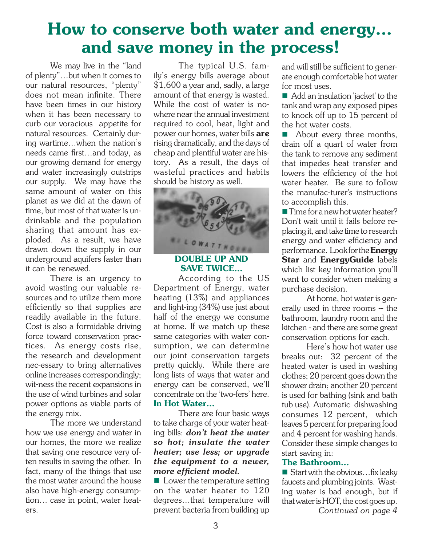# **How to conserve both water and energy… and save money in the process!**

We may live in the "land of plenty"…but when it comes to our natural resources, "plenty" does not mean infinite. There have been times in our history when it has been necessary to curb our voracious appetite for natural resources. Certainly during wartime…when the nation's needs came first…and today, as our growing demand for energy and water increasingly outstrips our supply. We may have the same amount of water on this planet as we did at the dawn of time, but most of that water is undrinkable and the population sharing that amount has exploded. As a result, we have drawn down the supply in our underground aquifers faster than it can be renewed.

 There is an urgency to avoid wasting our valuable resources and to utilize them more efficiently so that supplies are readily available in the future. Cost is also a formidable driving force toward conservation practices. As energy costs rise, the research and development nec-essary to bring alternatives online increases correspondingly; wit-ness the recent expansions in the use of wind turbines and solar power options as viable parts of the energy mix.

 The more we understand how we use energy and water in our homes, the more we realize that saving one resource very often results in saving the other. In fact, many of the things that use the most water around the house also have high-energy consumption… case in point, water heaters.

The typical U.S. family's energy bills average about \$1,600 a year and, sadly, a large amount of that energy is wasted. While the cost of water is nowhere near the annual investment required to cool, heat, light and power our homes, water bills **are** rising dramatically, and the days of cheap and plentiful water are history. As a result, the days of wasteful practices and habits should be history as well.



#### **DOUBLE UP AND SAVE TWICE…**

According to the US Department of Energy, water heating (13%) and appliances and light-ing (34%) use just about half of the energy we consume at home. If we match up these same categories with water consumption, we can determine our joint conservation targets pretty quickly. While there are long lists of ways that water and energy can be conserved, we'll concentrate on the 'two-fers' here. **In Hot Water…**

There are four basic ways to take charge of your water heating bills: *don't heat the water so hot; insulate the water heater; use less; or upgrade the equipment to a newer, more efficient model.* 

 $\blacksquare$  Lower the temperature setting on the water heater to 120 degrees…that temperature will prevent bacteria from building up and will still be sufficient to generate enough comfortable hot water for most uses.

■ Add an insulation 'jacket' to the tank and wrap any exposed pipes to knock off up to 15 percent of the hot water costs.

 About every three months, drain off a quart of water from the tank to remove any sediment that impedes heat transfer and lowers the efficiency of the hot water heater. Be sure to follow the manufac-turer's instructions to accomplish this.

■ Time for a new hot water heater? Don't wait until it fails before replacing it, and take time to research energy and water efficiency and performance. Look for the **Energy Star** and **EnergyGuide** labels which list key information you'll want to consider when making a purchase decision.

 At home, hot water is generally used in three rooms -- the bathroom, laundry room and the kitchen - and there are some great conservation options for each.

Here's how hot water use breaks out: 32 percent of the heated water is used in washing clothes; 20 percent goes down the shower drain; another 20 percent is used for bathing (sink and bath tub use). Automatic dishwashing consumes 12 percent, which leaves 5 percent for preparing food and 4 percent for washing hands. Consider these simple changes to start saving in:

#### **The Bathroom…**

 $\blacksquare$  Start with the obvious... fix leaky faucets and plumbing joints. Wasting water is bad enough, but if that water is HOT, the cost goes up. *Continued on page 4*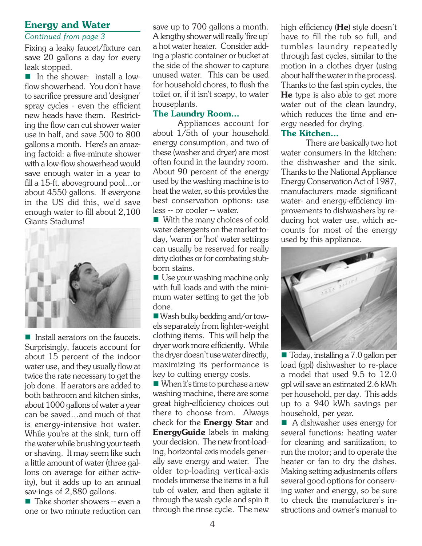#### **Energy and Water**

#### *Continued from page 3*

Fixing a leaky faucet/fixture can save 20 gallons a day for every leak stopped.

In the shower: install a lowflow showerhead. You don't have to sacrifice pressure and 'designer' spray cycles - even the efficient new heads have them. Restricting the flow can cut shower water use in half, and save 500 to 800 gallons a month. Here's an amazing factoid: a five-minute shower with a low-flow showerhead would save enough water in a year to fill a 15-ft. aboveground pool…or about 4550 gallons. If everyone in the US did this, we'd save enough water to fill about 2,100 Giants Stadiums!



about 1000 gallons of water a year gre Install aerators on the faucets. Surprisingly, faucets account for about 15 percent of the indoor water use, and they usually flow at twice the rate necessary to get the job done. If aerators are added to both bathroom and kitchen sinks, can be saved…and much of that is energy-intensive hot water. While you're at the sink, turn off the water while brushing your teeth or shaving. It may seem like such a little amount of water (three gallons on average for either activity), but it adds up to an annual sav-ings of 2,880 gallons.

 $\blacksquare$  Take shorter showers -- even a one or two minute reduction can

save up to 700 gallons a month. A lengthy shower will really 'fire up' a hot water heater. Consider adding a plastic container or bucket at the side of the shower to capture unused water. This can be used for household chores, to flush the toilet or, if it isn't soapy, to water houseplants.

#### **The Laundry Room…**

Appliances account for about 1/5th of your household energy consumption, and two of these (washer and dryer) are most often found in the laundry room. About 90 percent of the energy used by the washing machine is to heat the water, so this provides the best conservation options: use less -- or cooler -- water.

■ With the many choices of cold water detergents on the market today, 'warm' or 'hot' water settings can usually be reserved for really dirty clothes or for combating stubborn stains.

Use your washing machine only with full loads and with the minimum water setting to get the job done.

Wash bulky bedding and/or towels separately from lighter-weight clothing items. This will help the dryer work more efficiently. While the dryer doesn't use water directly, maximizing its performance is key to cutting energy costs.

■ When it's time to purchase a new washing machine, there are some great high-efficiency choices out there to choose from. Always check for the **Energy Star** and **EnergyGuide** labels in making your decision. The new front-loading, horizontal-axis models generally save energy and water. The older top-loading vertical-axis models immerse the items in a full tub of water, and then agitate it through the wash cycle and spin it through the rinse cycle. The new

high efficiency (**He**) style doesn't have to fill the tub so full, and tumbles laundry repeatedly through fast cycles, similar to the motion in a clothes dryer (using about half the water in the process). Thanks to the fast spin cycles, the **He** type is also able to get more water out of the clean laundry, which reduces the time and energy needed for drying.

#### **The Kitchen…**

There are basically two hot water consumers in the kitchen: the dishwasher and the sink. Thanks to the National Appliance Energy Conservation Act of 1987, manufacturers made significant water- and energy-efficiency improvements to dishwashers by reducing hot water use, which accounts for most of the energy used by this appliance.



■ Today, installing a 7.0 gallon per load (gpl) dishwasher to re-place a model that used 9.5 to 12.0 gpl will save an estimated 2.6 kWh per household, per day. This adds up to a 940 kWh savings per household, per year.

A dishwasher uses energy for several functions: heating water for cleaning and sanitization; to run the motor; and to operate the heater or fan to dry the dishes. Making setting adjustments offers several good options for conserving water and energy, so be sure to check the manufacturer's instructions and owner's manual to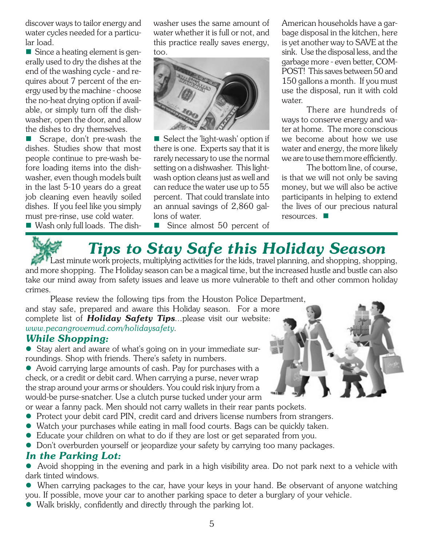discover ways to tailor energy and water cycles needed for a particular load.

■ Since a heating element is generally used to dry the dishes at the end of the washing cycle - and requires about 7 percent of the energy used by the machine - choose the no-heat drying option if available, or simply turn off the dishwasher, open the door, and allow the dishes to dry themselves.

 Scrape, don't pre-wash the dishes. Studies show that most people continue to pre-wash before loading items into the dishwasher, even though models built in the last 5-10 years do a great job cleaning even heavily soiled dishes. If you feel like you simply must pre-rinse, use cold water.

Wash only full loads. The dish-

washer uses the same amount of water whether it is full or not, and this practice really saves energy, too.



■ Select the 'light-wash' option if there is one. Experts say that it is rarely necessary to use the normal setting on a dishwasher. This lightwash option cleans just as well and can reduce the water use up to 55 percent. That could translate into an annual savings of 2,860 gallons of water.

Since almost 50 percent of

American households have a garbage disposal in the kitchen, here is yet another way to SAVE at the sink. Use the disposal less, and the garbage more - even better, COM-POST! This saves between 50 and 150 gallons a month. If you must use the disposal, run it with cold water.

 There are hundreds of ways to conserve energy and water at home. The more conscious we become about how we use water and energy, the more likely we are to use them more efficiently.

 The bottom line, of course, is that we will not only be saving money, but we will also be active participants in helping to extend the lives of our precious natural resources.

# *Tips to Stay Safe this Holiday Season*

Last minute work projects, multiplying activities for the kids, travel planning, and shopping, shopping, and more shopping. The Holiday season can be a magical time, but the increased hustle and bustle can also take our mind away from safety issues and leave us more vulnerable to theft and other common holiday crimes.

Please review the following tips from the Houston Police Department, and stay safe, prepared and aware this Holiday season. For a more complete list of *Holiday Safety Tips*...please visit our website: *www.pecangrovemud.com/holidaysafety.*

#### *While Shopping:*

• Stay alert and aware of what's going on in your immediate surroundings. Shop with friends. There's safety in numbers.

• Avoid carrying large amounts of cash. Pay for purchases with a check, or a credit or debit card. When carrying a purse, never wrap the strap around your arms or shoulders. You could risk injury from a would-be purse-snatcher. Use a clutch purse tucked under your arm

- or wear a fanny pack. Men should not carry wallets in their rear pants pockets.
- Protect your debit card PIN, credit card and drivers license numbers from strangers.
- Watch your purchases while eating in mall food courts. Bags can be quickly taken.
- Educate your children on what to do if they are lost or get separated from you.
- $\bullet$  Don't overburden yourself or jeopardize your safety by carrying too many packages.

#### *In the Parking Lot:*

• Avoid shopping in the evening and park in a high visibility area. Do not park next to a vehicle with dark tinted windows.

• When carrying packages to the car, have your keys in your hand. Be observant of anyone watching you. If possible, move your car to another parking space to deter a burglary of your vehicle.

 $\bullet$  Walk briskly, confidently and directly through the parking lot.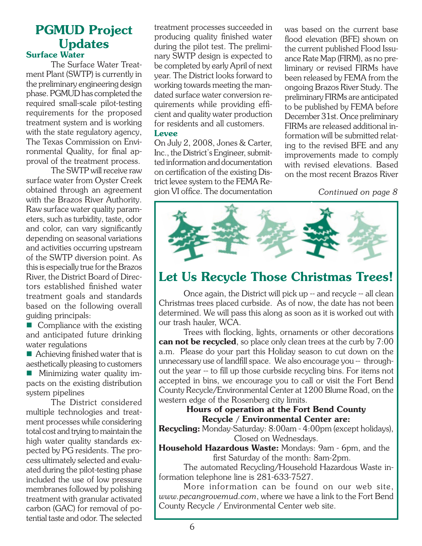#### **PGMUD Project Updates Surface Water**

The Surface Water Treatment Plant (SWTP) is currently in the preliminary engineering design phase. PGMUD has completed the required small-scale pilot-testing requirements for the proposed treatment system and is working with the state regulatory agency, The Texas Commission on Environmental Quality, for final approval of the treatment process.

 The SWTP will receive raw surface water from Oyster Creek obtained through an agreement with the Brazos River Authority. Raw surface water quality parameters, such as turbidity, taste, odor and color, can vary significantly depending on seasonal variations and activities occurring upstream of the SWTP diversion point. As this is especially true for the Brazos River, the District Board of Directors established finished water treatment goals and standards based on the following overall guiding principals:

■ Compliance with the existing and anticipated future drinking water regulations

 $\blacksquare$  Achieving finished water that is aesthetically pleasing to customers

**Minimizing water quality im**pacts on the existing distribution system pipelines

The District considered multiple technologies and treatment processes while considering total cost and trying to maintain the high water quality standards expected by PG residents. The process ultimately selected and evaluated during the pilot-testing phase included the use of low pressure membranes followed by polishing treatment with granular activated carbon (GAC) for removal of potential taste and odor. The selected treatment processes succeeded in producing quality finished water during the pilot test. The preliminary SWTP design is expected to be completed by early April of next year. The District looks forward to working towards meeting the mandated surface water conversion requirements while providing efficient and quality water production for residents and all customers.

#### **Levee**

On July 2, 2008, Jones & Carter, Inc., the District's Engineer, submitted information and documentation on certification of the existing District levee system to the FEMA Region VI office. The documentation was based on the current base flood elevation (BFE) shown on the current published Flood Issuance Rate Map (FIRM), as no preliminary or revised FIRMs have been released by FEMA from the ongoing Brazos River Study. The preliminary FIRMs are anticipated to be published by FEMA before December 31st. Once preliminary FIRMs are released additional information will be submitted relating to the revised BFE and any improvements made to comply with revised elevations. Based on the most recent Brazos River

*Continued on page 8*



# **Let Us Recycle Those Christmas Trees!**

Once again, the District will pick up -- and recycle -- all clean Christmas trees placed curbside. As of now, the date has not been determined. We will pass this along as soon as it is worked out with our trash hauler, WCA.

Trees with flocking, lights, ornaments or other decorations **can not be recycled**, so place only clean trees at the curb by 7:00 a.m. Please do your part this Holiday season to cut down on the unnecessary use of landfill space. We also encourage you -- throughout the year -- to fill up those curbside recycling bins. For items not accepted in bins, we encourage you to call or visit the Fort Bend County Recycle/Environmental Center at 1200 Blume Road, on the western edge of the Rosenberg city limits.

#### **Hours of operation at the Fort Bend County Recycle / Environmental Center are:**

**Recycling:** Monday-Saturday: 8:00am - 4:00pm (except holidays), Closed on Wednesdays.

**Household Hazardous Waste:** Mondays: 9am - 6pm, and the first Saturday of the month: 8am-2pm.

 The automated Recycling/Household Hazardous Waste information telephone line is 281-633-7527.

 More information can be found on our web site, *www.pecangrovemud.com*, where we have a link to the Fort Bend County Recycle / Environmental Center web site.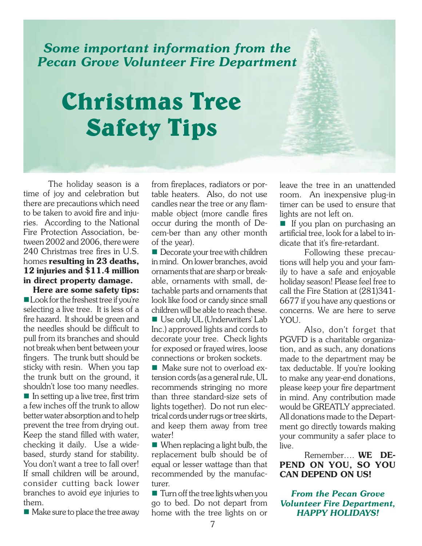### *Some important information from the Pecan Grove Volunteer Fire Department*

# **Christmas Tree Safety Tips**

The holiday season is a time of joy and celebration but there are precautions which need to be taken to avoid fire and injuries. According to the National Fire Protection Association, between 2002 and 2006, there were 240 Christmas tree fires in U.S. homes **resulting in 23 deaths, 12 injuries and \$11.4 million in direct property damage.** 

**Here are some safety tips:**  Look for the freshest tree if you're selecting a live tree. It is less of a fire hazard. It should be green and the needles should be difficult to pull from its branches and should not break when bent between your fingers. The trunk butt should be sticky with resin. When you tap the trunk butt on the ground, it shouldn't lose too many needles.  $\blacksquare$  In setting up a live tree, first trim a few inches off the trunk to allow better water absorption and to help prevent the tree from drying out. Keep the stand filled with water, checking it daily. Use a widebased, sturdy stand for stability. You don't want a tree to fall over! If small children will be around, consider cutting back lower branches to avoid eye injuries to them.

■ Make sure to place the tree away

from fireplaces, radiators or portable heaters. Also, do not use candles near the tree or any flammable object (more candle fires occur during the month of Decem-ber than any other month of the year).

Decorate your tree with children in mind. On lower branches, avoid ornaments that are sharp or breakable, ornaments with small, detachable parts and ornaments that look like food or candy since small children will be able to reach these. Use only UL (Underwriters' Lab Inc.) approved lights and cords to decorate your tree. Check lights

for exposed or frayed wires, loose connections or broken sockets. ■ Make sure not to overload extension cords (as a general rule, UL recommends stringing no more than three standard-size sets of

lights together). Do not run electrical cords under rugs or tree skirts, and keep them away from tree water!

When replacing a light bulb, the replacement bulb should be of equal or lesser wattage than that recommended by the manufacturer.

■ Turn off the tree lights when you go to bed. Do not depart from home with the tree lights on or leave the tree in an unattended room. An inexpensive plug-in timer can be used to ensure that lights are not left on.

If you plan on purchasing an artificial tree, look for a label to indicate that it's fire-retardant.

 Following these precautions will help you and your family to have a safe and enjoyable holiday season! Please feel free to call the Fire Station at (281)341- 6677 if you have any questions or concerns. We are here to serve YOU.

Also, don't forget that PGVFD is a charitable organization, and as such, any donations made to the department may be tax deductable. If you're looking to make any year-end donations, please keep your fire department in mind. Any contribution made would be GREATLY appreciated. All donations made to the Department go directly towards making your community a safer place to live.

 Remember…. **WE DE-PEND ON YOU, SO YOU CAN DEPEND ON US!**

*From the Pecan Grove Volunteer Fire Department, HAPPY HOLIDAYS!*